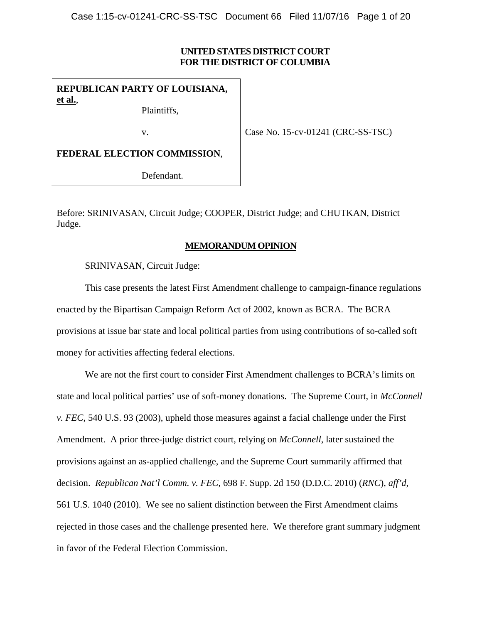# **UNITED STATES DISTRICT COURT FOR THE DISTRICT OF COLUMBIA**

**REPUBLICAN PARTY OF LOUISIANA, et al.**,

Plaintiffs,

v.

Case No. 15-cv-01241 (CRC-SS-TSC)

**FEDERAL ELECTION COMMISSION**,

Defendant.

Before: SRINIVASAN, Circuit Judge; COOPER, District Judge; and CHUTKAN, District Judge.

# **MEMORANDUM OPINION**

SRINIVASAN, Circuit Judge:

This case presents the latest First Amendment challenge to campaign-finance regulations enacted by the Bipartisan Campaign Reform Act of 2002, known as BCRA. The BCRA provisions at issue bar state and local political parties from using contributions of so-called soft money for activities affecting federal elections.

We are not the first court to consider First Amendment challenges to BCRA's limits on state and local political parties' use of soft-money donations. The Supreme Court, in *McConnell v. FEC*, 540 U.S. 93 (2003), upheld those measures against a facial challenge under the First Amendment. A prior three-judge district court, relying on *McConnell*, later sustained the provisions against an as-applied challenge, and the Supreme Court summarily affirmed that decision. *Republican Nat'l Comm. v. FEC*, 698 F. Supp. 2d 150 (D.D.C. 2010) (*RNC*), *aff'd*, 561 U.S. 1040 (2010). We see no salient distinction between the First Amendment claims rejected in those cases and the challenge presented here. We therefore grant summary judgment in favor of the Federal Election Commission.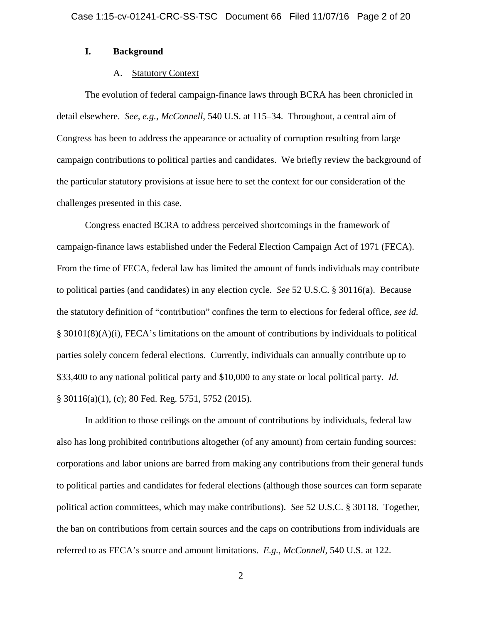#### **I. Background**

## A. Statutory Context

The evolution of federal campaign-finance laws through BCRA has been chronicled in detail elsewhere. *See, e.g.*, *McConnell*, 540 U.S. at 115–34. Throughout, a central aim of Congress has been to address the appearance or actuality of corruption resulting from large campaign contributions to political parties and candidates. We briefly review the background of the particular statutory provisions at issue here to set the context for our consideration of the challenges presented in this case.

Congress enacted BCRA to address perceived shortcomings in the framework of campaign-finance laws established under the Federal Election Campaign Act of 1971 (FECA). From the time of FECA, federal law has limited the amount of funds individuals may contribute to political parties (and candidates) in any election cycle. *See* 52 U.S.C. § 30116(a). Because the statutory definition of "contribution" confines the term to elections for federal office, *see id.*  § 30101(8)(A)(i), FECA's limitations on the amount of contributions by individuals to political parties solely concern federal elections. Currently, individuals can annually contribute up to \$33,400 to any national political party and \$10,000 to any state or local political party. *Id.*  § 30116(a)(1), (c); 80 Fed. Reg. 5751, 5752 (2015).

In addition to those ceilings on the amount of contributions by individuals, federal law also has long prohibited contributions altogether (of any amount) from certain funding sources: corporations and labor unions are barred from making any contributions from their general funds to political parties and candidates for federal elections (although those sources can form separate political action committees, which may make contributions). *See* 52 U.S.C. § 30118. Together, the ban on contributions from certain sources and the caps on contributions from individuals are referred to as FECA's source and amount limitations. *E.g.*, *McConnell*, 540 U.S. at 122.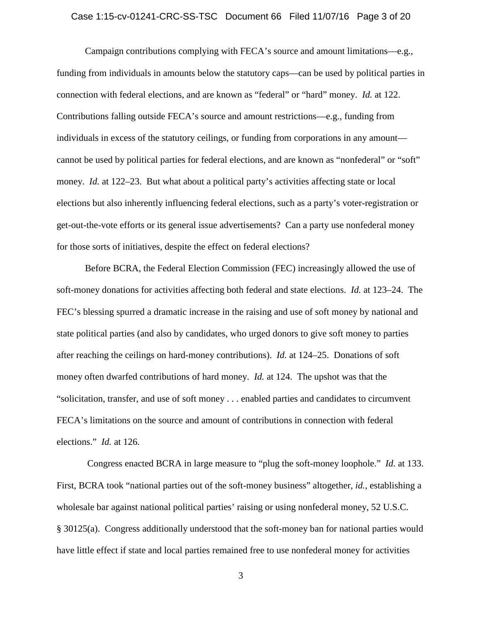## Case 1:15-cv-01241-CRC-SS-TSC Document 66 Filed 11/07/16 Page 3 of 20

Campaign contributions complying with FECA's source and amount limitations—e.g., funding from individuals in amounts below the statutory caps—can be used by political parties in connection with federal elections, and are known as "federal" or "hard" money. *Id.* at 122. Contributions falling outside FECA's source and amount restrictions—e.g., funding from individuals in excess of the statutory ceilings, or funding from corporations in any amount cannot be used by political parties for federal elections, and are known as "nonfederal" or "soft" money. *Id.* at 122–23. But what about a political party's activities affecting state or local elections but also inherently influencing federal elections, such as a party's voter-registration or get-out-the-vote efforts or its general issue advertisements? Can a party use nonfederal money for those sorts of initiatives, despite the effect on federal elections?

Before BCRA, the Federal Election Commission (FEC) increasingly allowed the use of soft-money donations for activities affecting both federal and state elections. *Id.* at 123–24. The FEC's blessing spurred a dramatic increase in the raising and use of soft money by national and state political parties (and also by candidates, who urged donors to give soft money to parties after reaching the ceilings on hard-money contributions). *Id.* at 124–25. Donations of soft money often dwarfed contributions of hard money. *Id.* at 124. The upshot was that the "solicitation, transfer, and use of soft money . . . enabled parties and candidates to circumvent FECA's limitations on the source and amount of contributions in connection with federal elections." *Id.* at 126.

Congress enacted BCRA in large measure to "plug the soft-money loophole." *Id.* at 133. First, BCRA took "national parties out of the soft-money business" altogether, *id.*, establishing a wholesale bar against national political parties' raising or using nonfederal money, 52 U.S.C. § 30125(a). Congress additionally understood that the soft-money ban for national parties would have little effect if state and local parties remained free to use nonfederal money for activities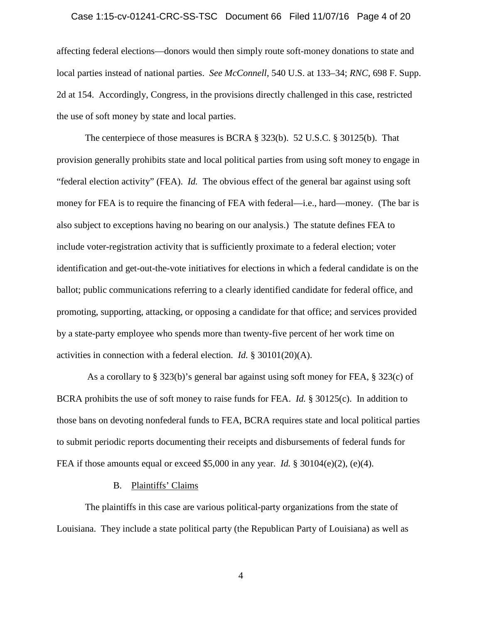## Case 1:15-cv-01241-CRC-SS-TSC Document 66 Filed 11/07/16 Page 4 of 20

affecting federal elections—donors would then simply route soft-money donations to state and local parties instead of national parties. *See McConnell*, 540 U.S. at 133–34; *RNC*, 698 F. Supp. 2d at 154. Accordingly, Congress, in the provisions directly challenged in this case, restricted the use of soft money by state and local parties.

The centerpiece of those measures is BCRA § 323(b). 52 U.S.C. § 30125(b). That provision generally prohibits state and local political parties from using soft money to engage in "federal election activity" (FEA). *Id.* The obvious effect of the general bar against using soft money for FEA is to require the financing of FEA with federal—i.e., hard—money. (The bar is also subject to exceptions having no bearing on our analysis.) The statute defines FEA to include voter-registration activity that is sufficiently proximate to a federal election; voter identification and get-out-the-vote initiatives for elections in which a federal candidate is on the ballot; public communications referring to a clearly identified candidate for federal office, and promoting, supporting, attacking, or opposing a candidate for that office; and services provided by a state-party employee who spends more than twenty-five percent of her work time on activities in connection with a federal election. *Id.* § 30101(20)(A).

As a corollary to § 323(b)'s general bar against using soft money for FEA, § 323(c) of BCRA prohibits the use of soft money to raise funds for FEA. *Id.* § 30125(c). In addition to those bans on devoting nonfederal funds to FEA, BCRA requires state and local political parties to submit periodic reports documenting their receipts and disbursements of federal funds for FEA if those amounts equal or exceed \$5,000 in any year. *Id.* § 30104(e)(2), (e)(4).

## B. Plaintiffs' Claims

The plaintiffs in this case are various political-party organizations from the state of Louisiana. They include a state political party (the Republican Party of Louisiana) as well as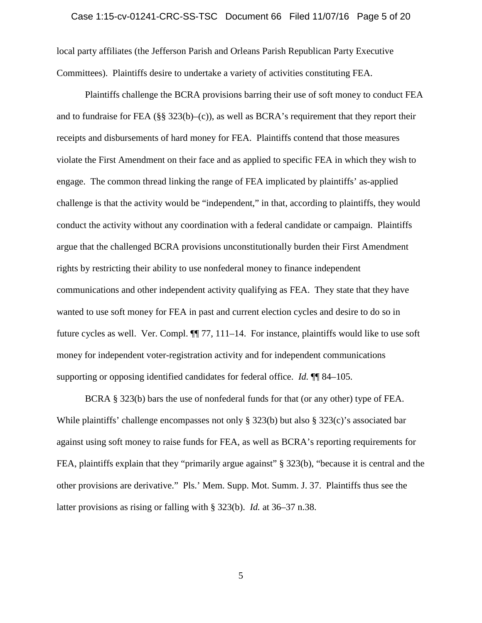local party affiliates (the Jefferson Parish and Orleans Parish Republican Party Executive Committees). Plaintiffs desire to undertake a variety of activities constituting FEA.

Plaintiffs challenge the BCRA provisions barring their use of soft money to conduct FEA and to fundraise for FEA (§§ 323(b)–(c)), as well as BCRA's requirement that they report their receipts and disbursements of hard money for FEA. Plaintiffs contend that those measures violate the First Amendment on their face and as applied to specific FEA in which they wish to engage. The common thread linking the range of FEA implicated by plaintiffs' as-applied challenge is that the activity would be "independent," in that, according to plaintiffs, they would conduct the activity without any coordination with a federal candidate or campaign. Plaintiffs argue that the challenged BCRA provisions unconstitutionally burden their First Amendment rights by restricting their ability to use nonfederal money to finance independent communications and other independent activity qualifying as FEA. They state that they have wanted to use soft money for FEA in past and current election cycles and desire to do so in future cycles as well. Ver. Compl. ¶¶ 77, 111–14. For instance, plaintiffs would like to use soft money for independent voter-registration activity and for independent communications supporting or opposing identified candidates for federal office. *Id.* ¶¶ 84–105.

BCRA § 323(b) bars the use of nonfederal funds for that (or any other) type of FEA. While plaintiffs' challenge encompasses not only § 323(b) but also § 323(c)'s associated bar against using soft money to raise funds for FEA, as well as BCRA's reporting requirements for FEA, plaintiffs explain that they "primarily argue against" § 323(b), "because it is central and the other provisions are derivative." Pls.' Mem. Supp. Mot. Summ. J. 37. Plaintiffs thus see the latter provisions as rising or falling with § 323(b). *Id.* at 36–37 n.38.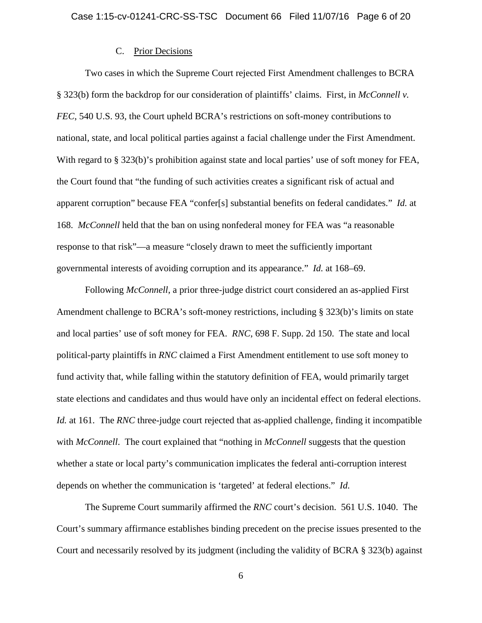#### C. Prior Decisions

Two cases in which the Supreme Court rejected First Amendment challenges to BCRA § 323(b) form the backdrop for our consideration of plaintiffs' claims. First, in *McConnell v. FEC*, 540 U.S. 93, the Court upheld BCRA's restrictions on soft-money contributions to national, state, and local political parties against a facial challenge under the First Amendment. With regard to § 323(b)'s prohibition against state and local parties' use of soft money for FEA, the Court found that "the funding of such activities creates a significant risk of actual and apparent corruption" because FEA "confer[s] substantial benefits on federal candidates." *Id.* at 168. *McConnell* held that the ban on using nonfederal money for FEA was "a reasonable response to that risk"—a measure "closely drawn to meet the sufficiently important governmental interests of avoiding corruption and its appearance." *Id.* at 168–69.

Following *McConnell*, a prior three-judge district court considered an as-applied First Amendment challenge to BCRA's soft-money restrictions, including § 323(b)'s limits on state and local parties' use of soft money for FEA. *RNC*, 698 F. Supp. 2d 150. The state and local political-party plaintiffs in *RNC* claimed a First Amendment entitlement to use soft money to fund activity that, while falling within the statutory definition of FEA, would primarily target state elections and candidates and thus would have only an incidental effect on federal elections. *Id.* at 161. The *RNC* three-judge court rejected that as-applied challenge, finding it incompatible with *McConnell*. The court explained that "nothing in *McConnell* suggests that the question whether a state or local party's communication implicates the federal anti-corruption interest depends on whether the communication is 'targeted' at federal elections." *Id.*

The Supreme Court summarily affirmed the *RNC* court's decision. 561 U.S. 1040. The Court's summary affirmance establishes binding precedent on the precise issues presented to the Court and necessarily resolved by its judgment (including the validity of BCRA § 323(b) against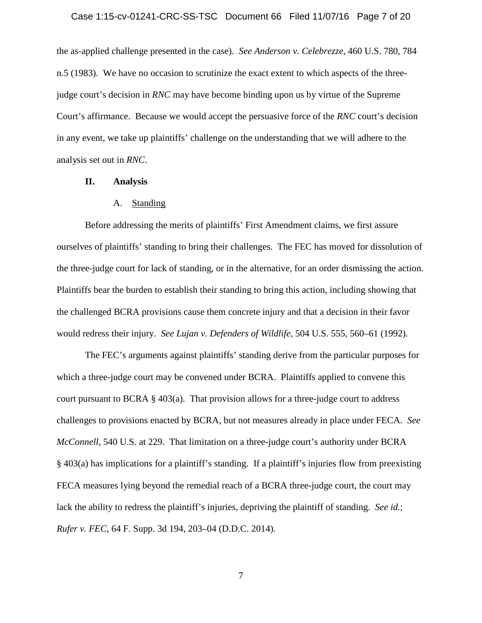## Case 1:15-cv-01241-CRC-SS-TSC Document 66 Filed 11/07/16 Page 7 of 20

the as-applied challenge presented in the case). *See Anderson v. Celebrezze*, 460 U.S. 780, 784 n.5 (1983). We have no occasion to scrutinize the exact extent to which aspects of the threejudge court's decision in *RNC* may have become binding upon us by virtue of the Supreme Court's affirmance. Because we would accept the persuasive force of the *RNC* court's decision in any event, we take up plaintiffs' challenge on the understanding that we will adhere to the analysis set out in *RNC*.

## **II. Analysis**

## A. Standing

Before addressing the merits of plaintiffs' First Amendment claims, we first assure ourselves of plaintiffs' standing to bring their challenges. The FEC has moved for dissolution of the three-judge court for lack of standing, or in the alternative, for an order dismissing the action. Plaintiffs bear the burden to establish their standing to bring this action, including showing that the challenged BCRA provisions cause them concrete injury and that a decision in their favor would redress their injury. *See Lujan v. Defenders of Wildlife*, 504 U.S. 555, 560–61 (1992).

The FEC's arguments against plaintiffs' standing derive from the particular purposes for which a three-judge court may be convened under BCRA. Plaintiffs applied to convene this court pursuant to BCRA § 403(a). That provision allows for a three-judge court to address challenges to provisions enacted by BCRA, but not measures already in place under FECA. *See McConnell*, 540 U.S. at 229. That limitation on a three-judge court's authority under BCRA § 403(a) has implications for a plaintiff's standing. If a plaintiff's injuries flow from preexisting FECA measures lying beyond the remedial reach of a BCRA three-judge court, the court may lack the ability to redress the plaintiff's injuries, depriving the plaintiff of standing. *See id.*; *Rufer v. FEC*, 64 F. Supp. 3d 194, 203–04 (D.D.C. 2014).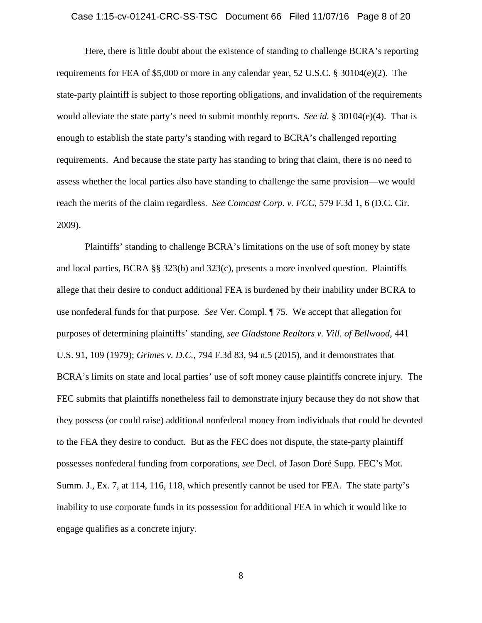Here, there is little doubt about the existence of standing to challenge BCRA's reporting requirements for FEA of \$5,000 or more in any calendar year, 52 U.S.C. § 30104(e)(2). The state-party plaintiff is subject to those reporting obligations, and invalidation of the requirements would alleviate the state party's need to submit monthly reports. *See id.* § 30104(e)(4). That is enough to establish the state party's standing with regard to BCRA's challenged reporting requirements. And because the state party has standing to bring that claim, there is no need to assess whether the local parties also have standing to challenge the same provision—we would reach the merits of the claim regardless. *See Comcast Corp. v. FCC*, 579 F.3d 1, 6 (D.C. Cir. 2009).

Plaintiffs' standing to challenge BCRA's limitations on the use of soft money by state and local parties, BCRA §§ 323(b) and 323(c), presents a more involved question. Plaintiffs allege that their desire to conduct additional FEA is burdened by their inability under BCRA to use nonfederal funds for that purpose. *See* Ver. Compl. ¶ 75. We accept that allegation for purposes of determining plaintiffs' standing, *see Gladstone Realtors v. Vill. of Bellwood*, 441 U.S. 91, 109 (1979); *Grimes v. D.C.*, 794 F.3d 83, 94 n.5 (2015), and it demonstrates that BCRA's limits on state and local parties' use of soft money cause plaintiffs concrete injury. The FEC submits that plaintiffs nonetheless fail to demonstrate injury because they do not show that they possess (or could raise) additional nonfederal money from individuals that could be devoted to the FEA they desire to conduct. But as the FEC does not dispute, the state-party plaintiff possesses nonfederal funding from corporations, *see* Decl. of Jason Doré Supp. FEC's Mot. Summ. J., Ex. 7, at 114, 116, 118, which presently cannot be used for FEA. The state party's inability to use corporate funds in its possession for additional FEA in which it would like to engage qualifies as a concrete injury.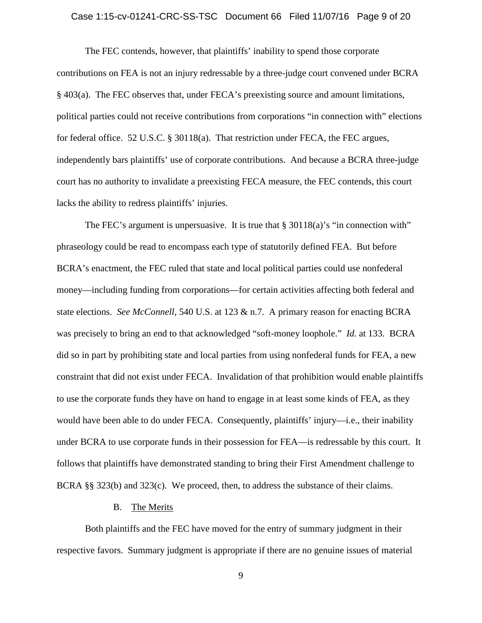## Case 1:15-cv-01241-CRC-SS-TSC Document 66 Filed 11/07/16 Page 9 of 20

The FEC contends, however, that plaintiffs' inability to spend those corporate contributions on FEA is not an injury redressable by a three-judge court convened under BCRA § 403(a). The FEC observes that, under FECA's preexisting source and amount limitations, political parties could not receive contributions from corporations "in connection with" elections for federal office. 52 U.S.C. § 30118(a). That restriction under FECA, the FEC argues, independently bars plaintiffs' use of corporate contributions. And because a BCRA three-judge court has no authority to invalidate a preexisting FECA measure, the FEC contends, this court lacks the ability to redress plaintiffs' injuries.

The FEC's argument is unpersuasive. It is true that  $\S 30118(a)$ 's "in connection with" phraseology could be read to encompass each type of statutorily defined FEA. But before BCRA's enactment, the FEC ruled that state and local political parties could use nonfederal money—including funding from corporations—for certain activities affecting both federal and state elections. *See McConnell*, 540 U.S. at 123 & n.7. A primary reason for enacting BCRA was precisely to bring an end to that acknowledged "soft-money loophole." *Id.* at 133. BCRA did so in part by prohibiting state and local parties from using nonfederal funds for FEA, a new constraint that did not exist under FECA. Invalidation of that prohibition would enable plaintiffs to use the corporate funds they have on hand to engage in at least some kinds of FEA, as they would have been able to do under FECA. Consequently, plaintiffs' injury—i.e., their inability under BCRA to use corporate funds in their possession for FEA—is redressable by this court. It follows that plaintiffs have demonstrated standing to bring their First Amendment challenge to BCRA §§ 323(b) and 323(c). We proceed, then, to address the substance of their claims.

## B. The Merits

Both plaintiffs and the FEC have moved for the entry of summary judgment in their respective favors. Summary judgment is appropriate if there are no genuine issues of material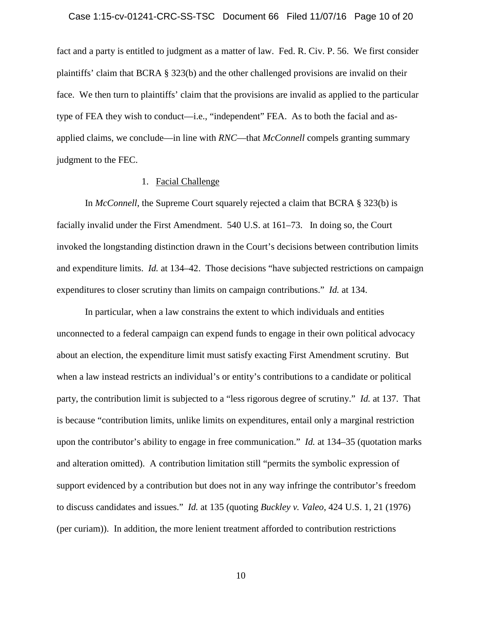fact and a party is entitled to judgment as a matter of law. Fed. R. Civ. P. 56. We first consider plaintiffs' claim that BCRA § 323(b) and the other challenged provisions are invalid on their face. We then turn to plaintiffs' claim that the provisions are invalid as applied to the particular type of FEA they wish to conduct—i.e., "independent" FEA. As to both the facial and asapplied claims, we conclude—in line with *RNC*—that *McConnell* compels granting summary judgment to the FEC.

## 1. Facial Challenge

In *McConnell*, the Supreme Court squarely rejected a claim that BCRA § 323(b) is facially invalid under the First Amendment. 540 U.S. at 161–73. In doing so, the Court invoked the longstanding distinction drawn in the Court's decisions between contribution limits and expenditure limits. *Id.* at 134–42. Those decisions "have subjected restrictions on campaign expenditures to closer scrutiny than limits on campaign contributions." *Id.* at 134.

In particular, when a law constrains the extent to which individuals and entities unconnected to a federal campaign can expend funds to engage in their own political advocacy about an election, the expenditure limit must satisfy exacting First Amendment scrutiny. But when a law instead restricts an individual's or entity's contributions to a candidate or political party, the contribution limit is subjected to a "less rigorous degree of scrutiny." *Id.* at 137. That is because "contribution limits, unlike limits on expenditures, entail only a marginal restriction upon the contributor's ability to engage in free communication." *Id.* at 134–35 (quotation marks and alteration omitted). A contribution limitation still "permits the symbolic expression of support evidenced by a contribution but does not in any way infringe the contributor's freedom to discuss candidates and issues." *Id.* at 135 (quoting *Buckley v. Valeo*, 424 U.S. 1, 21 (1976) (per curiam)). In addition, the more lenient treatment afforded to contribution restrictions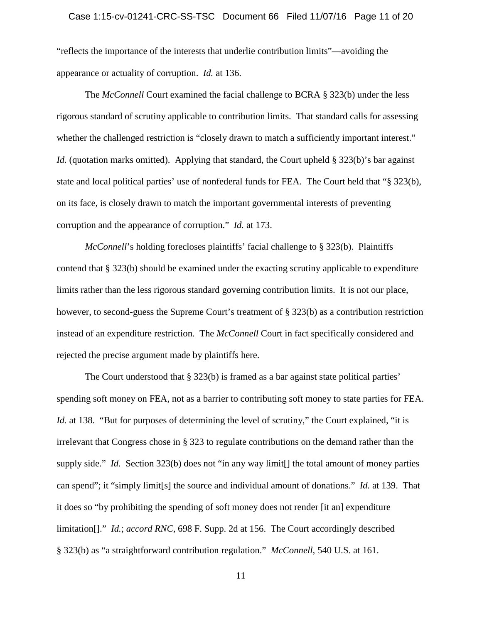"reflects the importance of the interests that underlie contribution limits"—avoiding the appearance or actuality of corruption. *Id.* at 136.

The *McConnell* Court examined the facial challenge to BCRA § 323(b) under the less rigorous standard of scrutiny applicable to contribution limits. That standard calls for assessing whether the challenged restriction is "closely drawn to match a sufficiently important interest." *Id.* (quotation marks omitted). Applying that standard, the Court upheld § 323(b)'s bar against state and local political parties' use of nonfederal funds for FEA. The Court held that "§ 323(b), on its face, is closely drawn to match the important governmental interests of preventing corruption and the appearance of corruption." *Id.* at 173.

*McConnell*'s holding forecloses plaintiffs' facial challenge to § 323(b). Plaintiffs contend that § 323(b) should be examined under the exacting scrutiny applicable to expenditure limits rather than the less rigorous standard governing contribution limits. It is not our place, however, to second-guess the Supreme Court's treatment of § 323(b) as a contribution restriction instead of an expenditure restriction. The *McConnell* Court in fact specifically considered and rejected the precise argument made by plaintiffs here.

The Court understood that  $\S$  323(b) is framed as a bar against state political parties' spending soft money on FEA, not as a barrier to contributing soft money to state parties for FEA. *Id.* at 138. "But for purposes of determining the level of scrutiny," the Court explained, "it is irrelevant that Congress chose in § 323 to regulate contributions on the demand rather than the supply side." *Id.* Section 323(b) does not "in any way limit<sup>[]</sup> the total amount of money parties can spend"; it "simply limit[s] the source and individual amount of donations." *Id.* at 139. That it does so "by prohibiting the spending of soft money does not render [it an] expenditure limitation[]." *Id.*; *accord RNC*, 698 F. Supp. 2d at 156. The Court accordingly described § 323(b) as "a straightforward contribution regulation." *McConnell*, 540 U.S. at 161.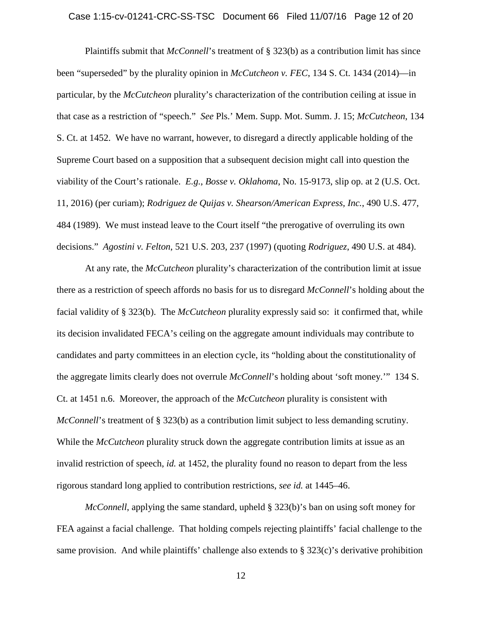## Case 1:15-cv-01241-CRC-SS-TSC Document 66 Filed 11/07/16 Page 12 of 20

Plaintiffs submit that *McConnell*'s treatment of § 323(b) as a contribution limit has since been "superseded" by the plurality opinion in *McCutcheon v. FEC*, 134 S. Ct. 1434 (2014)—in particular, by the *McCutcheon* plurality's characterization of the contribution ceiling at issue in that case as a restriction of "speech." *See* Pls.' Mem. Supp. Mot. Summ. J. 15; *McCutcheon*, 134 S. Ct. at 1452. We have no warrant, however, to disregard a directly applicable holding of the Supreme Court based on a supposition that a subsequent decision might call into question the viability of the Court's rationale. *E.g.*, *Bosse v. Oklahoma*, No. 15-9173, slip op. at 2 (U.S. Oct. 11, 2016) (per curiam); *Rodriguez de Quijas v. Shearson/American Express, Inc.*, 490 U.S. 477, 484 (1989). We must instead leave to the Court itself "the prerogative of overruling its own decisions." *Agostini v. Felton*, 521 U.S. 203, 237 (1997) (quoting *Rodriguez*, 490 U.S. at 484).

At any rate, the *McCutcheon* plurality's characterization of the contribution limit at issue there as a restriction of speech affords no basis for us to disregard *McConnell*'s holding about the facial validity of § 323(b). The *McCutcheon* plurality expressly said so: it confirmed that, while its decision invalidated FECA's ceiling on the aggregate amount individuals may contribute to candidates and party committees in an election cycle, its "holding about the constitutionality of the aggregate limits clearly does not overrule *McConnell*'s holding about 'soft money.'" 134 S. Ct. at 1451 n.6. Moreover, the approach of the *McCutcheon* plurality is consistent with *McConnell*'s treatment of § 323(b) as a contribution limit subject to less demanding scrutiny. While the *McCutcheon* plurality struck down the aggregate contribution limits at issue as an invalid restriction of speech, *id.* at 1452, the plurality found no reason to depart from the less rigorous standard long applied to contribution restrictions, *see id.* at 1445–46.

*McConnell*, applying the same standard, upheld § 323(b)'s ban on using soft money for FEA against a facial challenge. That holding compels rejecting plaintiffs' facial challenge to the same provision. And while plaintiffs' challenge also extends to § 323(c)'s derivative prohibition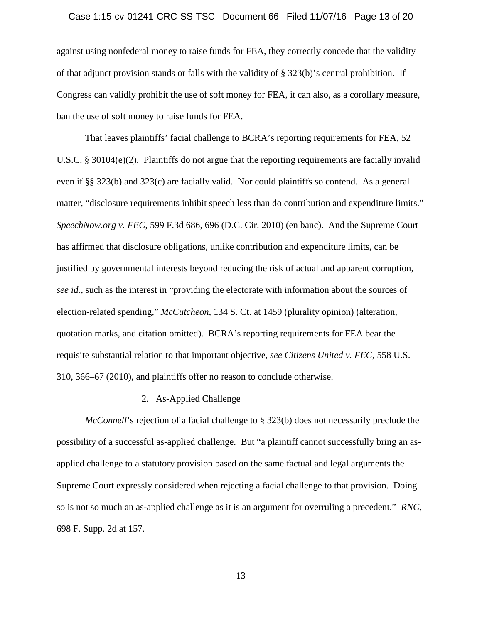## Case 1:15-cv-01241-CRC-SS-TSC Document 66 Filed 11/07/16 Page 13 of 20

against using nonfederal money to raise funds for FEA, they correctly concede that the validity of that adjunct provision stands or falls with the validity of § 323(b)'s central prohibition. If Congress can validly prohibit the use of soft money for FEA, it can also, as a corollary measure, ban the use of soft money to raise funds for FEA.

That leaves plaintiffs' facial challenge to BCRA's reporting requirements for FEA, 52 U.S.C. § 30104(e)(2). Plaintiffs do not argue that the reporting requirements are facially invalid even if §§ 323(b) and 323(c) are facially valid. Nor could plaintiffs so contend. As a general matter, "disclosure requirements inhibit speech less than do contribution and expenditure limits." *SpeechNow.org v. FEC*, 599 F.3d 686, 696 (D.C. Cir. 2010) (en banc). And the Supreme Court has affirmed that disclosure obligations, unlike contribution and expenditure limits, can be justified by governmental interests beyond reducing the risk of actual and apparent corruption, *see id.*, such as the interest in "providing the electorate with information about the sources of election-related spending," *McCutcheon*, 134 S. Ct. at 1459 (plurality opinion) (alteration, quotation marks, and citation omitted). BCRA's reporting requirements for FEA bear the requisite substantial relation to that important objective, *see Citizens United v. FEC*, 558 U.S. 310, 366–67 (2010), and plaintiffs offer no reason to conclude otherwise.

## 2. As-Applied Challenge

*McConnell*'s rejection of a facial challenge to § 323(b) does not necessarily preclude the possibility of a successful as-applied challenge. But "a plaintiff cannot successfully bring an asapplied challenge to a statutory provision based on the same factual and legal arguments the Supreme Court expressly considered when rejecting a facial challenge to that provision. Doing so is not so much an as-applied challenge as it is an argument for overruling a precedent." *RNC*, 698 F. Supp. 2d at 157.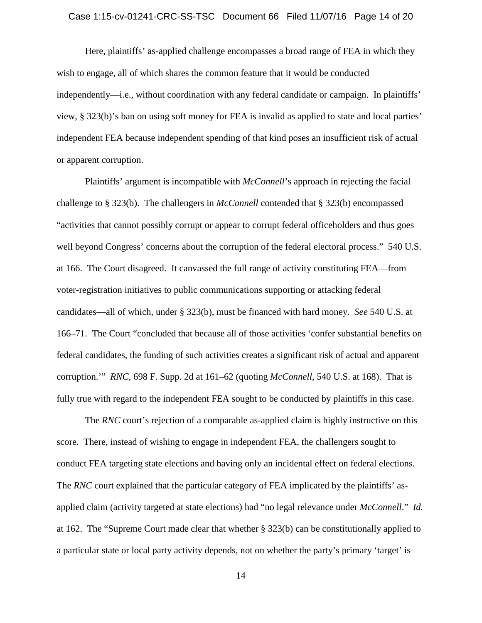## Case 1:15-cv-01241-CRC-SS-TSC Document 66 Filed 11/07/16 Page 14 of 20

Here, plaintiffs' as-applied challenge encompasses a broad range of FEA in which they wish to engage, all of which shares the common feature that it would be conducted independently—i.e., without coordination with any federal candidate or campaign. In plaintiffs' view, § 323(b)'s ban on using soft money for FEA is invalid as applied to state and local parties' independent FEA because independent spending of that kind poses an insufficient risk of actual or apparent corruption.

Plaintiffs' argument is incompatible with *McConnell*'s approach in rejecting the facial challenge to § 323(b). The challengers in *McConnell* contended that § 323(b) encompassed "activities that cannot possibly corrupt or appear to corrupt federal officeholders and thus goes well beyond Congress' concerns about the corruption of the federal electoral process." 540 U.S. at 166. The Court disagreed. It canvassed the full range of activity constituting FEA—from voter-registration initiatives to public communications supporting or attacking federal candidates—all of which, under § 323(b), must be financed with hard money. *See* 540 U.S. at 166–71. The Court "concluded that because all of those activities 'confer substantial benefits on federal candidates, the funding of such activities creates a significant risk of actual and apparent corruption.'" *RNC*, 698 F. Supp. 2d at 161–62 (quoting *McConnell*, 540 U.S. at 168). That is fully true with regard to the independent FEA sought to be conducted by plaintiffs in this case.

The *RNC* court's rejection of a comparable as-applied claim is highly instructive on this score. There, instead of wishing to engage in independent FEA, the challengers sought to conduct FEA targeting state elections and having only an incidental effect on federal elections. The *RNC* court explained that the particular category of FEA implicated by the plaintiffs' asapplied claim (activity targeted at state elections) had "no legal relevance under *McConnell*." *Id.*  at 162. The "Supreme Court made clear that whether § 323(b) can be constitutionally applied to a particular state or local party activity depends, not on whether the party's primary 'target' is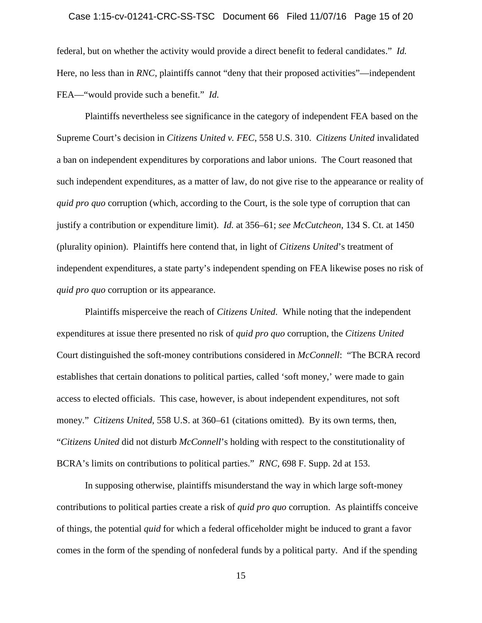## Case 1:15-cv-01241-CRC-SS-TSC Document 66 Filed 11/07/16 Page 15 of 20

federal, but on whether the activity would provide a direct benefit to federal candidates." *Id.*  Here, no less than in *RNC*, plaintiffs cannot "deny that their proposed activities"—independent FEA—"would provide such a benefit." *Id.*

Plaintiffs nevertheless see significance in the category of independent FEA based on the Supreme Court's decision in *Citizens United v. FEC*, 558 U.S. 310. *Citizens United* invalidated a ban on independent expenditures by corporations and labor unions. The Court reasoned that such independent expenditures, as a matter of law, do not give rise to the appearance or reality of *quid pro quo* corruption (which, according to the Court, is the sole type of corruption that can justify a contribution or expenditure limit). *Id.* at 356–61; *see McCutcheon*, 134 S. Ct. at 1450 (plurality opinion). Plaintiffs here contend that, in light of *Citizens United*'s treatment of independent expenditures, a state party's independent spending on FEA likewise poses no risk of *quid pro quo* corruption or its appearance.

Plaintiffs misperceive the reach of *Citizens United*. While noting that the independent expenditures at issue there presented no risk of *quid pro quo* corruption, the *Citizens United*  Court distinguished the soft-money contributions considered in *McConnell*: "The BCRA record establishes that certain donations to political parties, called 'soft money,' were made to gain access to elected officials. This case, however, is about independent expenditures, not soft money." *Citizens United*, 558 U.S. at 360–61 (citations omitted). By its own terms, then, "*Citizens United* did not disturb *McConnell*'s holding with respect to the constitutionality of BCRA's limits on contributions to political parties." *RNC*, 698 F. Supp. 2d at 153.

In supposing otherwise, plaintiffs misunderstand the way in which large soft-money contributions to political parties create a risk of *quid pro quo* corruption. As plaintiffs conceive of things, the potential *quid* for which a federal officeholder might be induced to grant a favor comes in the form of the spending of nonfederal funds by a political party. And if the spending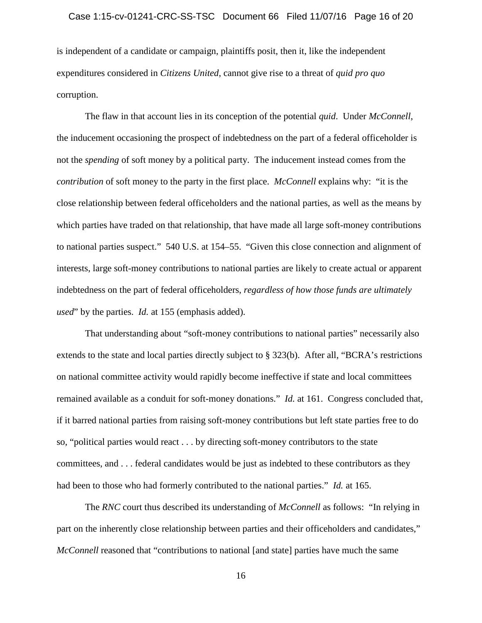## Case 1:15-cv-01241-CRC-SS-TSC Document 66 Filed 11/07/16 Page 16 of 20

is independent of a candidate or campaign, plaintiffs posit, then it, like the independent expenditures considered in *Citizens United*, cannot give rise to a threat of *quid pro quo*  corruption.

The flaw in that account lies in its conception of the potential *quid*. Under *McConnell*, the inducement occasioning the prospect of indebtedness on the part of a federal officeholder is not the *spending* of soft money by a political party. The inducement instead comes from the *contribution* of soft money to the party in the first place. *McConnell* explains why: "it is the close relationship between federal officeholders and the national parties, as well as the means by which parties have traded on that relationship, that have made all large soft-money contributions to national parties suspect." 540 U.S. at 154–55. "Given this close connection and alignment of interests, large soft-money contributions to national parties are likely to create actual or apparent indebtedness on the part of federal officeholders, *regardless of how those funds are ultimately used*" by the parties. *Id.* at 155 (emphasis added).

That understanding about "soft-money contributions to national parties" necessarily also extends to the state and local parties directly subject to § 323(b). After all, "BCRA's restrictions on national committee activity would rapidly become ineffective if state and local committees remained available as a conduit for soft-money donations." *Id.* at 161. Congress concluded that, if it barred national parties from raising soft-money contributions but left state parties free to do so, "political parties would react . . . by directing soft-money contributors to the state committees, and . . . federal candidates would be just as indebted to these contributors as they had been to those who had formerly contributed to the national parties." *Id.* at 165.

The *RNC* court thus described its understanding of *McConnell* as follows: "In relying in part on the inherently close relationship between parties and their officeholders and candidates," *McConnell* reasoned that "contributions to national [and state] parties have much the same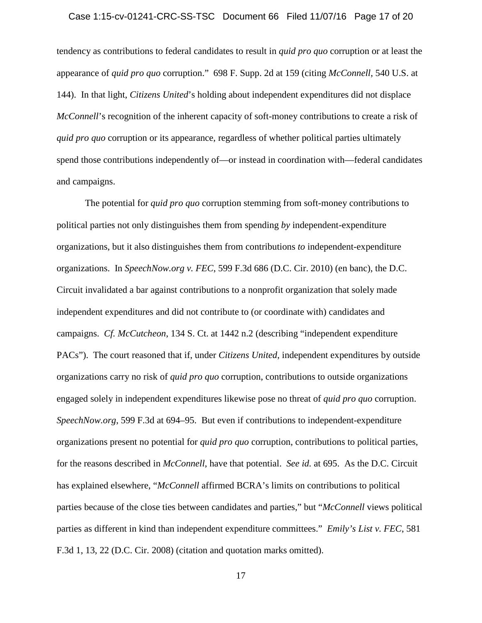## Case 1:15-cv-01241-CRC-SS-TSC Document 66 Filed 11/07/16 Page 17 of 20

tendency as contributions to federal candidates to result in *quid pro quo* corruption or at least the appearance of *quid pro quo* corruption." 698 F. Supp. 2d at 159 (citing *McConnell*, 540 U.S. at 144). In that light, *Citizens United*'s holding about independent expenditures did not displace *McConnell*'s recognition of the inherent capacity of soft-money contributions to create a risk of *quid pro quo* corruption or its appearance, regardless of whether political parties ultimately spend those contributions independently of—or instead in coordination with—federal candidates and campaigns.

The potential for *quid pro quo* corruption stemming from soft-money contributions to political parties not only distinguishes them from spending *by* independent-expenditure organizations, but it also distinguishes them from contributions *to* independent-expenditure organizations. In *SpeechNow.org v. FEC*, 599 F.3d 686 (D.C. Cir. 2010) (en banc), the D.C. Circuit invalidated a bar against contributions to a nonprofit organization that solely made independent expenditures and did not contribute to (or coordinate with) candidates and campaigns. *Cf. McCutcheon*, 134 S. Ct. at 1442 n.2 (describing "independent expenditure PACs"). The court reasoned that if, under *Citizens United*, independent expenditures by outside organizations carry no risk of *quid pro quo* corruption, contributions to outside organizations engaged solely in independent expenditures likewise pose no threat of *quid pro quo* corruption. *SpeechNow.org*, 599 F.3d at 694–95. But even if contributions to independent-expenditure organizations present no potential for *quid pro quo* corruption, contributions to political parties, for the reasons described in *McConnell*, have that potential. *See id.* at 695. As the D.C. Circuit has explained elsewhere, "*McConnell* affirmed BCRA's limits on contributions to political parties because of the close ties between candidates and parties," but "*McConnell* views political parties as different in kind than independent expenditure committees." *Emily's List v. FEC*, 581 F.3d 1, 13, 22 (D.C. Cir. 2008) (citation and quotation marks omitted).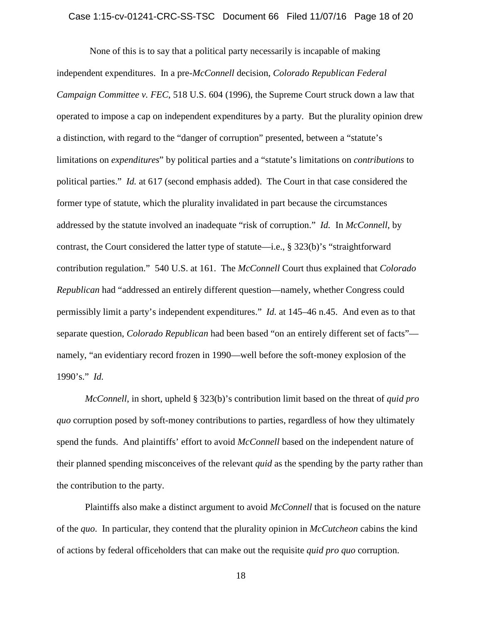## Case 1:15-cv-01241-CRC-SS-TSC Document 66 Filed 11/07/16 Page 18 of 20

 None of this is to say that a political party necessarily is incapable of making independent expenditures. In a pre-*McConnell* decision, *Colorado Republican Federal Campaign Committee v. FEC*, 518 U.S. 604 (1996), the Supreme Court struck down a law that operated to impose a cap on independent expenditures by a party. But the plurality opinion drew a distinction, with regard to the "danger of corruption" presented, between a "statute's limitations on *expenditures*" by political parties and a "statute's limitations on *contributions* to political parties." *Id.* at 617 (second emphasis added). The Court in that case considered the former type of statute, which the plurality invalidated in part because the circumstances addressed by the statute involved an inadequate "risk of corruption." *Id.* In *McConnell*, by contrast, the Court considered the latter type of statute—i.e., § 323(b)'s "straightforward contribution regulation." 540 U.S. at 161. The *McConnell* Court thus explained that *Colorado Republican* had "addressed an entirely different question—namely, whether Congress could permissibly limit a party's independent expenditures." *Id.* at 145–46 n.45. And even as to that separate question, *Colorado Republican* had been based "on an entirely different set of facts" namely, "an evidentiary record frozen in 1990—well before the soft-money explosion of the 1990's." *Id.*

*McConnell*, in short, upheld § 323(b)'s contribution limit based on the threat of *quid pro quo* corruption posed by soft-money contributions to parties, regardless of how they ultimately spend the funds. And plaintiffs' effort to avoid *McConnell* based on the independent nature of their planned spending misconceives of the relevant *quid* as the spending by the party rather than the contribution to the party.

Plaintiffs also make a distinct argument to avoid *McConnell* that is focused on the nature of the *quo*. In particular, they contend that the plurality opinion in *McCutcheon* cabins the kind of actions by federal officeholders that can make out the requisite *quid pro quo* corruption.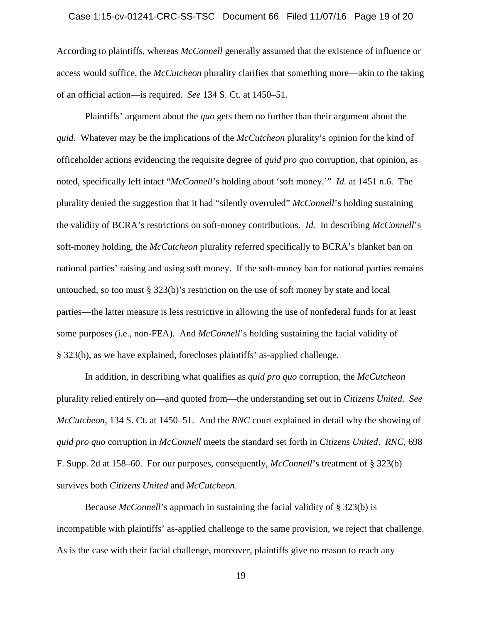## Case 1:15-cv-01241-CRC-SS-TSC Document 66 Filed 11/07/16 Page 19 of 20

According to plaintiffs, whereas *McConnell* generally assumed that the existence of influence or access would suffice, the *McCutcheon* plurality clarifies that something more—akin to the taking of an official action—is required. *See* 134 S. Ct. at 1450–51.

Plaintiffs' argument about the *quo* gets them no further than their argument about the *quid*. Whatever may be the implications of the *McCutcheon* plurality's opinion for the kind of officeholder actions evidencing the requisite degree of *quid pro quo* corruption, that opinion, as noted, specifically left intact "*McConnell*'s holding about 'soft money.'" *Id.* at 1451 n.6. The plurality denied the suggestion that it had "silently overruled" *McConnell*'s holding sustaining the validity of BCRA's restrictions on soft-money contributions. *Id.* In describing *McConnell*'s soft-money holding, the *McCutcheon* plurality referred specifically to BCRA's blanket ban on national parties' raising and using soft money. If the soft-money ban for national parties remains untouched, so too must § 323(b)'s restriction on the use of soft money by state and local parties—the latter measure is less restrictive in allowing the use of nonfederal funds for at least some purposes (i.e., non-FEA). And *McConnell*'s holding sustaining the facial validity of § 323(b), as we have explained, forecloses plaintiffs' as-applied challenge.

In addition, in describing what qualifies as *quid pro quo* corruption, the *McCutcheon*  plurality relied entirely on—and quoted from—the understanding set out in *Citizens United*. *See McCutcheon*, 134 S. Ct. at 1450–51. And the *RNC* court explained in detail why the showing of *quid pro quo* corruption in *McConnell* meets the standard set forth in *Citizens United*. *RNC*, 698 F. Supp. 2d at 158–60. For our purposes, consequently, *McConnell*'s treatment of § 323(b) survives both *Citizens United* and *McCutcheon*.

Because *McConnell*'s approach in sustaining the facial validity of § 323(b) is incompatible with plaintiffs' as-applied challenge to the same provision, we reject that challenge. As is the case with their facial challenge, moreover, plaintiffs give no reason to reach any